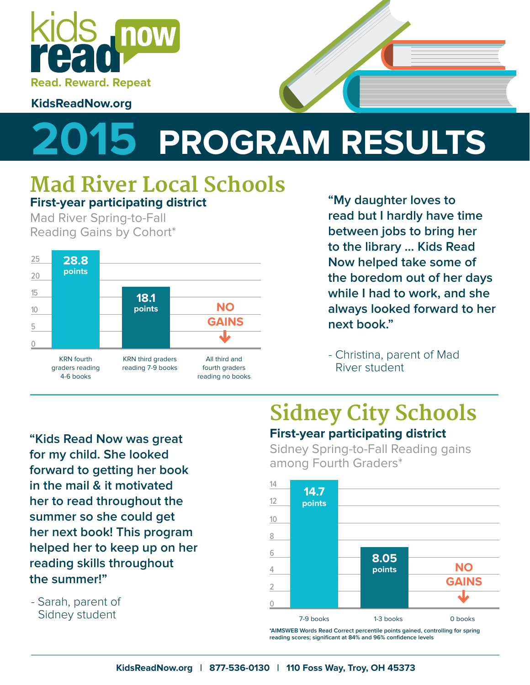

#### **KidsReadNow.org**

## **2015 PROGRAM RESULTS**

### **Mad River Local Schools First-year participating district**

Mad River Spring-to-Fall Reading Gains by Cohort\*



**"My daughter loves to read but I hardly have time between jobs to bring her to the library … Kids Read Now helped take some of the boredom out of her days while I had to work, and she always looked forward to her next book."**

- Christina, parent of Mad River student

**"Kids Read Now was great for my child. She looked forward to getting her book in the mail & it motivated her to read throughout the summer so she could get her next book! This program helped her to keep up on her reading skills throughout the summer!"**

- Sarah, parent of Sidney student

## **Sidney City Schools First-year participating district**

Sidney Spring-to-Fall Reading gains among Fourth Graders\*



**\*AIMSWEB Words Read Correct percentile points gained, controlling for spring reading scores; significant at 84% and 96% confidence levels**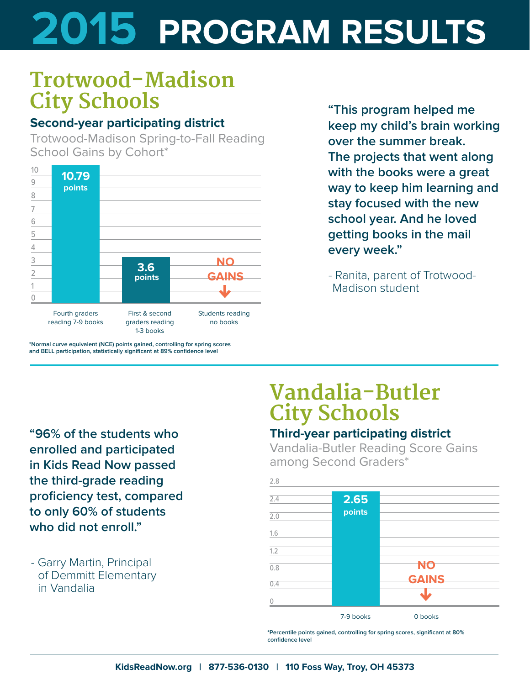# **2015 PROGRAM RESULTS**

## **Trotwood-Madison City Schools**

#### **Second-year participating district**

Trotwood-Madison Spring-to-Fall Reading School Gains by Cohort\*



**\*Normal curve equivalent (NCE) points gained, controlling for spring scores and BELL participation, statistically significant at 89% confidence level**

**"This program helped me keep my child's brain working over the summer break. The projects that went along with the books were a great way to keep him learning and stay focused with the new school year. And he loved getting books in the mail every week."**

- Ranita, parent of Trotwood-Madison student

**"96% of the students who enrolled and participated in Kids Read Now passed the third-grade reading proficiency test, compared to only 60% of students who did not enroll."**

- Garry Martin, Principal of Demmitt Elementary in Vandalia

## **Vandalia-Butler City Schools**

#### **Third-year participating district**

Vandalia-Butler Reading Score Gains among Second Graders\*



**\*Percentile points gained, controlling for spring scores, significant at 80% confidence level**